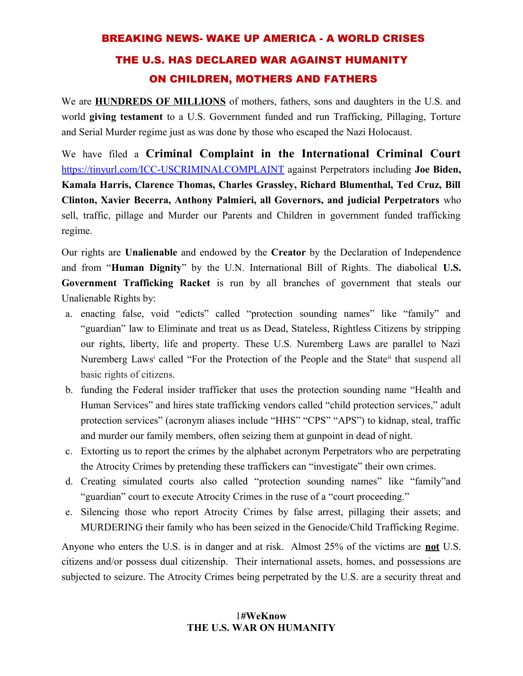# BREAKING NEWS- WAKE UP AMERICA - A WORLD CRISES THE U.S. HAS DECLARED WAR AGAINST HUMANITY ON CHILDREN, MOTHERS AND FATHERS

We are **HUNDREDS OF MILLIONS** of mothers, fathers, sons and daughters in the U.S. and world **giving testament** to a U.S. Government funded and run Trafficking, Pillaging, Torture and Serial Murder regime just as was done by those who escaped the Nazi Holocaust.

We have filed a **Criminal Complaint in the International Criminal Court** <https://tinyurl.com/ICC-USCRIMINALCOMPLAINT>against Perpetrators including **Joe Biden, Kamala Harris, Clarence Thomas, Charles Grassley, Richard Blumenthal, Ted Cruz, Bill Clinton, Xavier Becerra, Anthony Palmieri, all Governors, and judicial Perpetrators** who sell, traffic, pillage and Murder our Parents and Children in government funded trafficking regime.

Our rights are **Unalienable** and endowed by the **Creator** by the Declaration of Independence and from "**Human Dignity**" by the U.N. International Bill of Rights. The diabolical **U.S. Government Trafficking Racket** is run by all branches of government that steals our Unalienable Rights by:

- a. enacting false, void "edicts" called "protection sounding names" like "family" and "guardian" law to Eliminate and treat us as Dead, Stateless, Rightless Citizens by stripping our rights, liberty, life and property. These U.S. Nuremberg Laws are parallel to Nazi Nuremberg Laws<sup>[i](#page-2-0)</sup> called "For the Protection of the People and the State<sup>[ii](#page-2-1)</sup> that suspend all basic rights of citizens.
- b. funding the Federal insider trafficker that uses the protection sounding name "Health and Human Services" and hires state trafficking vendors called "child protection services," adult protection services" (acronym aliases include "HHS" "CPS" "APS") to kidnap, steal, traffic and murder our family members, often seizing them at gunpoint in dead of night.
- c. Extorting us to report the crimes by the alphabet acronym Perpetrators who are perpetrating the Atrocity Crimes by pretending these traffickers can "investigate" their own crimes.
- d. Creating simulated courts also called "protection sounding names" like "family"and "guardian" court to execute Atrocity Crimes in the ruse of a "court proceeding."
- e. Silencing those who report Atrocity Crimes by false arrest, pillaging their assets; and MURDERING their family who has been seized in the Genocide/Child Trafficking Regime.

Anyone who enters the U.S. is in danger and at risk. Almost 25% of the victims are **not** U.S. citizens and/or possess dual citizenship. Their international assets, homes, and possessions are subjected to seizure. The Atrocity Crimes being perpetrated by the U.S. are a security threat and

## 1**#WeKnow THE U.S. WAR ON HUMANITY**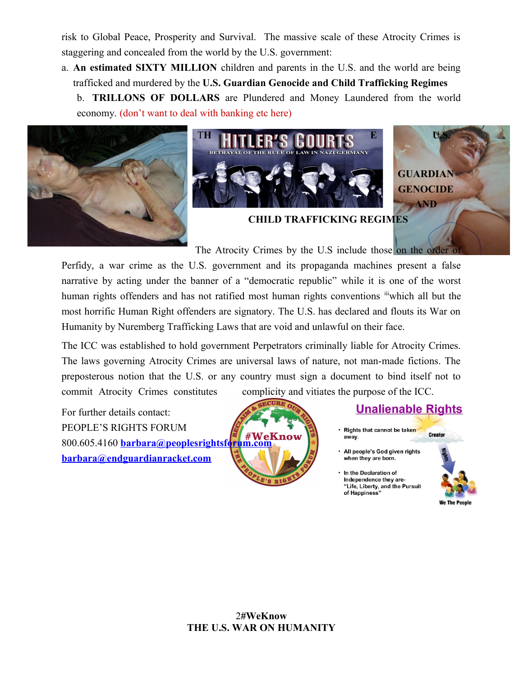risk to Global Peace, Prosperity and Survival. The massive scale of these Atrocity Crimes is staggering and concealed from the world by the U.S. government:

a. **An estimated SIXTY MILLION** children and parents in the U.S. and the world are being trafficked and murdered by the **U.S. Guardian Genocide and Child Trafficking Regimes** b. **TRILLONS OF DOLLARS** are Plundered and Money Laundered from the world economy. (don't want to deal with banking etc here)







**CHILD TRAFFICKING REGIMES**

The Atrocity Crimes by the U.S include those on the order of

Perfidy, a war crime as the U.S. government and its propaganda machines present a false narrative by acting under the banner of a "democratic republic" while it is one of the worst human rights offenders and has not ratified most human rights conventions in which all but the most horrific Human Right offenders are signatory. The U.S. has declared and flouts its War on Humanity by Nuremberg Trafficking Laws that are void and unlawful on their face.

The ICC was established to hold government Perpetrators criminally liable for Atrocity Crimes. The laws governing Atrocity Crimes are universal laws of nature, not man-made fictions. The preposterous notion that the U.S. or any country must sign a document to bind itself not to commit Atrocity Crimes constitutes complicity and vitiates the purpose of the ICC.

For further details contact: PEOPLE'S RIGHTS FORUM 800.605.4160 **[barbara@peoplesrightsforum.com](mailto:barbara@peoplesrightsforum.com) [barbara@endguardianracket.com](mailto:barbara@endguardianracket.com)**



## **Unalienable Rights**

• Rights that cannot be taken Creator away.

<sup>•</sup> In the Declaration of Independence they are-"Life, Liberty, and the Pursuit of Happiness"



## 2**#WeKnow THE U.S. WAR ON HUMANITY**

All people's God given rights when they are born.